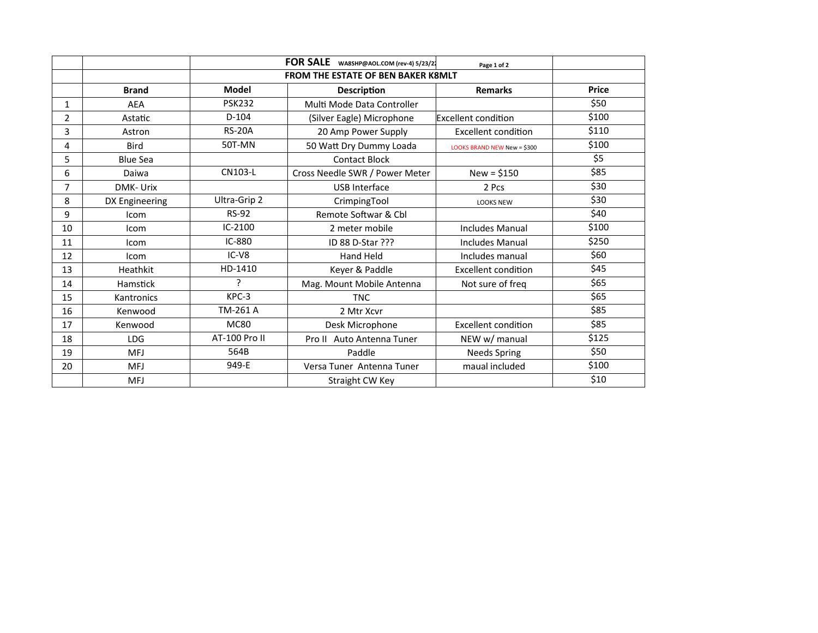|    |                 |                                           | FOR SALE WA8SHP@AOL.COM (rev-4) 5/23/2 | Page 1 of 2                 |              |
|----|-----------------|-------------------------------------------|----------------------------------------|-----------------------------|--------------|
|    |                 | <b>FROM THE ESTATE OF BEN BAKER K8MLT</b> |                                        |                             |              |
|    | <b>Brand</b>    | <b>Model</b>                              | <b>Description</b>                     | <b>Remarks</b>              | <b>Price</b> |
| 1  | <b>AEA</b>      | <b>PSK232</b>                             | Multi Mode Data Controller             |                             | \$50         |
| 2  | Astatic         | $D-104$                                   | (Silver Eagle) Microphone              | Excellent condition         | \$100        |
| 3  | Astron          | <b>RS-20A</b>                             | 20 Amp Power Supply                    | <b>Excellent condition</b>  | \$110        |
| 4  | <b>Bird</b>     | 50T-MN                                    | 50 Watt Dry Dummy Loada                | LOOKS BRAND NEW New = \$300 | \$100        |
| 5  | <b>Blue Sea</b> |                                           | <b>Contact Block</b>                   |                             | \$5          |
| 6  | Daiwa           | CN103-L                                   | Cross Needle SWR / Power Meter         | $New = $150$                | \$85         |
| 7  | <b>DMK-Urix</b> |                                           | <b>USB</b> Interface                   | 2 Pcs                       | \$30         |
| 8  | DX Engineering  | Ultra-Grip 2                              | CrimpingTool                           | <b>LOOKS NEW</b>            | \$30         |
| 9  | Icom            | <b>RS-92</b>                              | Remote Softwar & Cbl                   |                             | \$40         |
| 10 | Icom            | $IC-2100$                                 | 2 meter mobile                         | <b>Includes Manual</b>      | \$100        |
| 11 | Icom            | IC-880                                    | ID 88 D-Star ???                       | Includes Manual             | \$250        |
| 12 | Icom            | IC-V8                                     | <b>Hand Held</b>                       | Includes manual             | \$60         |
| 13 | Heathkit        | HD-1410                                   | Keyer & Paddle                         | Excellent condition         | \$45         |
| 14 | Hamstick        | ς                                         | Mag. Mount Mobile Antenna              | Not sure of freq            | \$65         |
| 15 | Kantronics      | KPC-3                                     | <b>TNC</b>                             |                             | \$65         |
| 16 | Kenwood         | TM-261 A                                  | 2 Mtr Xcvr                             |                             | \$85         |
| 17 | Kenwood         | <b>MC80</b>                               | Desk Microphone                        | <b>Excellent condition</b>  | \$85         |
| 18 | <b>LDG</b>      | AT-100 Pro II                             | Pro II Auto Antenna Tuner              | NEW w/ manual               | \$125        |
| 19 | <b>MFJ</b>      | 564B                                      | Paddle                                 | <b>Needs Spring</b>         | \$50         |
| 20 | <b>MFJ</b>      | 949-E                                     | Versa Tuner Antenna Tuner              | maual included              | \$100        |
|    | <b>MFJ</b>      |                                           | Straight CW Key                        |                             | \$10         |